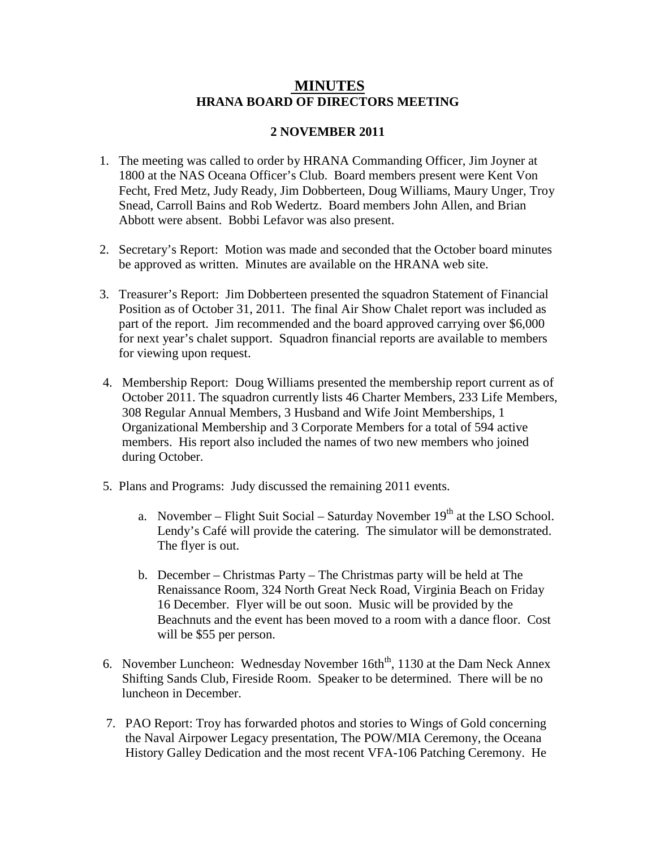## **MINUTES HRANA BOARD OF DIRECTORS MEETING**

## **2 NOVEMBER 2011**

- 1. The meeting was called to order by HRANA Commanding Officer, Jim Joyner at 1800 at the NAS Oceana Officer's Club. Board members present were Kent Von Fecht, Fred Metz, Judy Ready, Jim Dobberteen, Doug Williams, Maury Unger, Troy Snead, Carroll Bains and Rob Wedertz. Board members John Allen, and Brian Abbott were absent. Bobbi Lefavor was also present.
- 2. Secretary's Report: Motion was made and seconded that the October board minutes be approved as written. Minutes are available on the HRANA web site.
- 3. Treasurer's Report: Jim Dobberteen presented the squadron Statement of Financial Position as of October 31, 2011. The final Air Show Chalet report was included as part of the report. Jim recommended and the board approved carrying over \$6,000 for next year's chalet support. Squadron financial reports are available to members for viewing upon request.
- 4. Membership Report: Doug Williams presented the membership report current as of October 2011. The squadron currently lists 46 Charter Members, 233 Life Members, 308 Regular Annual Members, 3 Husband and Wife Joint Memberships, 1 Organizational Membership and 3 Corporate Members for a total of 594 active members. His report also included the names of two new members who joined during October.
- 5. Plans and Programs: Judy discussed the remaining 2011 events.
	- a. November Flight Suit Social Saturday November  $19<sup>th</sup>$  at the LSO School. Lendy's Café will provide the catering. The simulator will be demonstrated. The flyer is out.
	- b. December Christmas Party The Christmas party will be held at The Renaissance Room, 324 North Great Neck Road, Virginia Beach on Friday 16 December. Flyer will be out soon. Music will be provided by the Beachnuts and the event has been moved to a room with a dance floor. Cost will be \$55 per person.
- 6. November Luncheon: Wednesday November 16th<sup>th</sup>, 1130 at the Dam Neck Annex Shifting Sands Club, Fireside Room. Speaker to be determined. There will be no luncheon in December.
- 7. PAO Report: Troy has forwarded photos and stories to Wings of Gold concerning the Naval Airpower Legacy presentation, The POW/MIA Ceremony, the Oceana History Galley Dedication and the most recent VFA-106 Patching Ceremony. He